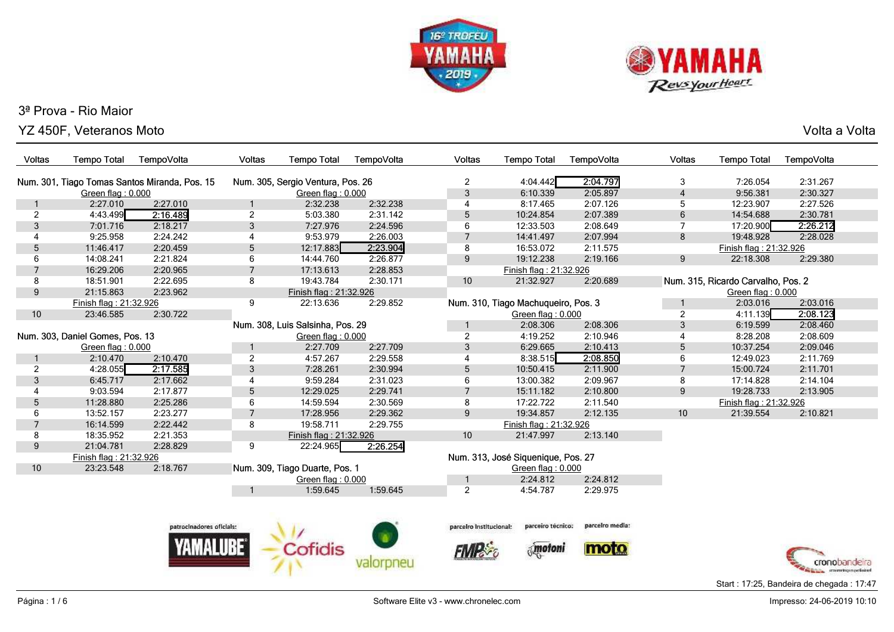



YZ 450F, Veteranos MotoVolta a Volta

| <b>Voltas</b>  | <b>Tempo Total</b>                                                                 | TempoVolta               | Voltas            | <b>Tempo Total</b>               | TempoVolta | Voltas                  | <b>Tempo Total</b>                  | TempoVolta      | Voltas         | <b>Tempo Total</b>                 | TempoVolta |
|----------------|------------------------------------------------------------------------------------|--------------------------|-------------------|----------------------------------|------------|-------------------------|-------------------------------------|-----------------|----------------|------------------------------------|------------|
|                | Num. 301, Tiago Tomas Santos Miranda, Pos. 15<br>Num. 305, Sergio Ventura, Pos. 26 |                          |                   |                                  |            |                         | 4:04.442                            | 2:04.797        | 3              | 7:26.054                           | 2:31.267   |
|                | Green flag: 0.000                                                                  |                          | Green flag: 0.000 |                                  |            | 2<br>3                  | 6:10.339                            | 2:05.897        | $\overline{4}$ | 9:56.381                           | 2:30.327   |
|                | 2:27.010                                                                           | 2:27.010                 |                   | 2:32.238                         | 2:32.238   | 4                       | 8:17.465                            | 2:07.126        | 5              | 12:23.907                          | 2:27.526   |
| $\overline{c}$ | 4:43.499                                                                           | 2:16.489                 | $\overline{2}$    | 5:03.380                         | 2:31.142   | 5                       | 10:24.854                           | 2:07.389        | $\,6\,$        | 14:54.688                          | 2:30.781   |
| 3              | 7:01.716                                                                           | 2:18.217                 | 3                 | 7:27.976                         | 2:24.596   | 6                       | 12:33.503                           | 2:08.649        | $\overline{7}$ | 17:20.900                          | 2:26.212   |
| 4              | 9:25.958                                                                           | 2:24.242                 | 4                 | 9:53.979                         | 2:26.003   | 7                       | 14:41.497                           | 2:07.994        | 8              | 19:48.928                          | 2:28.028   |
| 5              | 11:46.417                                                                          | 2:20.459                 | 5                 | 12:17.883                        | 2:23.904   | 8                       | 16:53.072                           | 2:11.575        |                | Finish flag: 21:32.926             |            |
| 6              | 14:08.241                                                                          | 2:21.824                 | 6                 | 14:44.760                        | 2:26.877   | 9                       | 19:12.238                           | 2:19.166        | 9              | 22:18.308                          | 2:29.380   |
| $\overline{7}$ | 16:29.206                                                                          | 2:20.965                 | $\overline{7}$    | 17:13.613                        | 2:28.853   |                         | Finish flag: 21:32.926              |                 |                |                                    |            |
| 8              | 18:51.901                                                                          | 2:22.695                 | 8                 | 19:43.784                        | 2:30.171   | 10                      | 21:32.927                           | 2:20.689        |                | Num. 315, Ricardo Carvalho, Pos. 2 |            |
| 9              | 21:15.863                                                                          | 2:23.962                 |                   | Finish flag: 21:32.926           |            |                         |                                     |                 |                | Green flag: 0.000                  |            |
|                | Finish flag: 21:32.926                                                             |                          | 9                 | 22:13.636                        | 2:29.852   |                         | Num. 310, Tiago Machuqueiro, Pos. 3 |                 |                | 2:03.016                           | 2:03.016   |
| 10             | 23:46.585                                                                          | 2:30.722                 |                   |                                  |            |                         | Green flag: 0.000                   |                 | $\overline{2}$ | 4:11.139                           | 2:08.123   |
|                |                                                                                    |                          |                   | Num. 308, Luis Salsinha, Pos. 29 |            |                         | 2:08.306                            | 2:08.306        | 3              | 6:19.599                           | 2:08.460   |
|                | Num. 303, Daniel Gomes, Pos. 13                                                    |                          |                   | Green flag: 0.000                |            | $\overline{c}$          | 4:19.252                            | 2:10.946        | 4              | 8:28.208                           | 2:08.609   |
|                | Green flag: 0.000                                                                  |                          |                   | 2:27.709                         | 2:27.709   | 3                       | 6:29.665                            | 2:10.413        | 5              | 10:37.254                          | 2:09.046   |
|                | 2:10.470                                                                           | 2:10.470                 | $\overline{2}$    | 4:57.267                         | 2:29.558   | 4                       | 8:38.515                            | 2:08.850        | 6              | 12:49.023                          | 2:11.769   |
| $\overline{2}$ | 4:28.055                                                                           | 2:17.585                 | 3                 | 7:28.261                         | 2:30.994   | 5                       | 10:50.415                           | 2:11.900        | $\overline{7}$ | 15:00.724                          | 2:11.701   |
| 3              | 6:45.717                                                                           | 2:17.662                 | 4                 | 9:59.284                         | 2:31.023   | 6                       | 13:00.382                           | 2:09.967        | 8              | 17:14.828                          | 2:14.104   |
| 4              | 9:03.594                                                                           | 2:17.877                 | 5                 | 12:29.025                        | 2:29.741   | $\overline{7}$          | 15:11.182                           | 2:10.800        | 9              | 19:28.733                          | 2:13.905   |
| 5              | 11:28.880                                                                          | 2:25.286                 | 6                 | 14:59.594                        | 2:30.569   | 8                       | 17:22.722                           | 2:11.540        |                | Finish flag: 21:32.926             |            |
| 6              | 13:52.157                                                                          | 2:23.277                 | $\overline{7}$    | 17:28.956                        | 2:29.362   | 9                       | 19:34.857                           | 2:12.135        | 10             | 21:39.554                          | 2:10.821   |
| $\overline{7}$ | 16:14.599                                                                          | 2:22.442                 | 8                 | 19:58.711                        | 2:29.755   |                         | Finish flag: 21:32.926              |                 |                |                                    |            |
| 8              | 18:35.952                                                                          | 2:21.353                 |                   | Finish flag: 21:32.926           |            | 10                      | 21:47.997                           | 2:13.140        |                |                                    |            |
| 9              | 21:04.781                                                                          | 2:28.829                 | 9                 | 22:24.965                        | 2:26.254   |                         |                                     |                 |                |                                    |            |
|                | Finish flag: 21:32.926                                                             |                          |                   |                                  |            |                         | Num. 313, José Siquenique, Pos. 27  |                 |                |                                    |            |
| 10             | 23:23.548                                                                          | 2:18.767                 |                   | Num. 309, Tiago Duarte, Pos. 1   |            |                         | Green flag: 0.000                   |                 |                |                                    |            |
|                |                                                                                    |                          |                   | Green flag: 0.000                |            |                         | 2:24.812                            | 2:24.812        |                |                                    |            |
|                |                                                                                    |                          |                   | 1:59.645                         | 1:59.645   | $\overline{2}$          | 4:54.787                            | 2:29.975        |                |                                    |            |
|                |                                                                                    |                          |                   |                                  |            |                         |                                     |                 |                |                                    |            |
|                |                                                                                    | patrocinadores oficials: |                   |                                  |            | parceiro institucional: | parceiro tecnico:                   | parcelro media: |                |                                    |            |
|                |                                                                                    |                          |                   | Cofidis                          |            |                         | motoni                              | moto            |                |                                    |            |
|                |                                                                                    |                          |                   |                                  |            |                         |                                     |                 |                |                                    |            |
|                |                                                                                    |                          |                   |                                  |            |                         |                                     |                 |                |                                    |            |

**Manual** commencemperison Start : 17:25, Bandeira de chegada : 17:47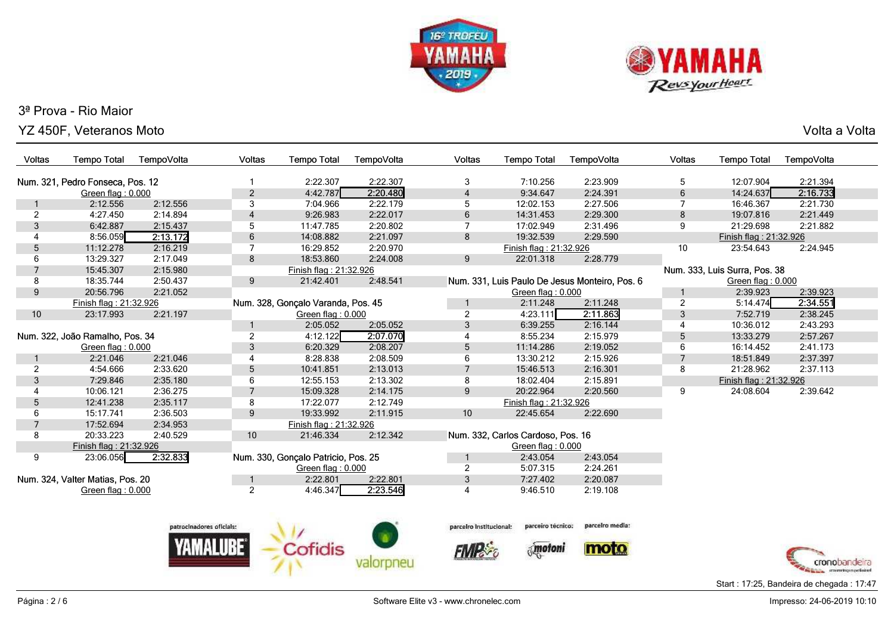



YZ 450F, Veteranos Moto

Volta a Volta

| Voltas         | <b>Tempo Total</b>                              | TempoVolta | <b>Voltas</b>            | <b>Tempo Total</b>                  | TempoVolta     | Voltas                  | <b>Tempo Total</b>                | TempoVolta                                     | <b>Voltas</b>  | <b>Tempo Total</b>            | TempoVolta                  |
|----------------|-------------------------------------------------|------------|--------------------------|-------------------------------------|----------------|-------------------------|-----------------------------------|------------------------------------------------|----------------|-------------------------------|-----------------------------|
|                | Num. 321, Pedro Fonseca, Pos. 12                |            |                          | 2:22.307                            | 2:22.307       | 3                       | 7:10.256                          | 2:23.909                                       | 5              | 12:07.904                     | 2:21.394                    |
|                | $\overline{2}$<br>4:42.787<br>Green flag: 0.000 |            |                          | 2:20.480                            | $\overline{4}$ | 9:34.647                | 2:24.391                          | 6                                              | 14:24.637      | 2:16.733                      |                             |
|                | 2:12.556                                        | 2:12.556   | $\mathbf{3}$             | 7:04.966                            | 2:22.179       | 5                       | 12:02.153                         | 2:27.506                                       | $\overline{7}$ | 16:46.367                     | 2:21.730                    |
| $\overline{a}$ | 4:27.450                                        | 2:14.894   | $\overline{4}$           | 9:26.983                            | 2:22.017       | 6                       | 14:31.453                         | 2:29.300                                       | 8              | 19:07.816                     | 2:21.449                    |
| $\mathfrak{S}$ | 6:42.887                                        | 2:15.437   | 5                        | 11:47.785                           | 2:20.802       | $\overline{7}$          | 17:02.949                         | 2:31.496                                       | 9              | 21:29.698                     | 2:21.882                    |
| 4              | 8:56.059                                        | 2:13.172   | $6\phantom{1}6$          | 14:08.882                           | 2:21.097       | 8                       | 19:32.539                         | 2:29.590                                       |                | Finish flag: 21:32.926        |                             |
| 5              | 11:12.278                                       | 2:16.219   | 7                        | 16:29.852                           | 2:20.970       |                         | Finish flag: 21:32.926            |                                                | 10             | 23:54.643                     | 2:24.945                    |
| 6              | 13:29.327                                       | 2:17.049   | 8                        | 18:53.860                           | 2:24.008       | 9                       | 22:01.318                         | 2:28.779                                       |                |                               |                             |
| $\overline{7}$ | 15:45.307                                       | 2:15.980   |                          | Finish flag: 21:32.926              |                |                         |                                   |                                                |                | Num. 333, Luis Surra, Pos. 38 |                             |
| 8              | 18:35.744                                       | 2:50.437   | $9\,$                    | 21:42.401                           | 2:48.541       |                         |                                   | Num. 331, Luis Paulo De Jesus Monteiro, Pos. 6 |                | Green flag: 0.000             |                             |
| 9              | 20:56.796                                       | 2:21.052   |                          |                                     |                |                         | Green flag: 0.000                 |                                                | 1              | 2:39.923                      | 2:39.923                    |
|                | Finish flag: 21:32.926                          |            |                          | Num. 328, Gonçalo Varanda, Pos. 45  |                |                         | 2:11.248                          | 2:11.248                                       | $\overline{2}$ | 5:14.474                      | 2:34.551                    |
| 10             | 23:17.993                                       | 2:21.197   |                          | Green flag: $0.000$                 |                | 2                       | 4:23.111                          | 2:11.863                                       | 3              | 7:52.719                      | 2:38.245                    |
|                |                                                 |            | 1                        | 2:05.052                            | 2:05.052       | 3                       | 6:39.255                          | 2:16.144                                       | 4              | 10:36.012                     | 2:43.293                    |
|                | Num. 322, João Ramalho, Pos. 34                 |            | $\overline{2}$           | 4:12.122                            | 2:07.070       | $\overline{4}$          | 8:55.234                          | 2:15.979                                       | 5              | 13:33.279                     | 2:57.267                    |
|                | Green flag: 0.000                               |            | $\sqrt{3}$               | 6:20.329                            | 2:08.207       | 5                       | 11:14.286                         | 2:19.052                                       | 6              | 16:14.452                     | 2:41.173                    |
|                | 2:21.046                                        | 2:21.046   | $\overline{4}$           | 8:28.838                            | 2:08.509       | 6                       | 13:30.212                         | 2:15.926                                       | $\overline{7}$ | 18:51.849                     | 2:37.397                    |
| $\overline{a}$ | 4:54.666                                        | 2:33.620   | $\sqrt{5}$               | 10:41.851                           | 2:13.013       | $\overline{7}$          | 15:46.513                         | 2:16.301                                       | 8              | 21:28.962                     | 2:37.113                    |
| 3              | 7:29.846                                        | 2:35.180   | 6                        | 12:55.153                           | 2:13.302       | 8                       | 18:02.404                         | 2:15.891                                       |                | Finish flag: 21:32.926        |                             |
| 4              | 10:06.121                                       | 2:36.275   | $\overline{7}$           | 15:09.328                           | 2:14.175       | 9                       | 20:22.964                         | 2:20.560                                       | 9              | 24:08.604                     | 2:39.642                    |
| 5              | 12:41.238                                       | 2:35.117   | 8                        | 17:22.077                           | 2:12.749       |                         | Finish flag: 21:32.926            |                                                |                |                               |                             |
| 6              | 15:17.741                                       | 2:36.503   | 9                        | 19:33.992                           | 2:11.915       | 10                      | 22:45.654                         | 2:22.690                                       |                |                               |                             |
| $\overline{7}$ | 17:52.694                                       | 2:34.953   |                          | Finish flag: 21:32.926              |                |                         |                                   |                                                |                |                               |                             |
| 8              | 20:33.223                                       | 2:40.529   | 10                       | 21:46.334                           | 2:12.342       |                         | Num. 332, Carlos Cardoso, Pos. 16 |                                                |                |                               |                             |
|                | Finish flag: 21:32.926                          |            |                          |                                     |                |                         | Green flag: 0.000                 |                                                |                |                               |                             |
| 9              | 23:06.056                                       | 2:32.833   |                          | Num. 330, Gonçalo Patricio, Pos. 25 |                |                         | 2:43.054                          | 2:43.054                                       |                |                               |                             |
|                |                                                 |            |                          | Green flag: 0.000                   |                | $\overline{2}$          | 5:07.315                          | 2:24.261                                       |                |                               |                             |
|                | Num. 324, Valter Matias, Pos. 20                |            | 1                        | 2:22.801                            | 2:22.801       | $\sqrt{3}$              | 7:27.402                          | 2:20.087                                       |                |                               |                             |
|                | Green flag: 0.000                               |            | $\overline{2}$           | 4:46.347                            | 2:23.546       | $\overline{4}$          | 9:46.510                          | 2:19.108                                       |                |                               |                             |
|                |                                                 |            |                          |                                     |                |                         |                                   |                                                |                |                               |                             |
|                |                                                 |            | patrocinadores oficials: |                                     |                | parceiro Institucional: | parceiro técnico:                 | parcelro media:                                |                |                               |                             |
|                |                                                 |            |                          |                                     |                |                         |                                   |                                                |                |                               |                             |
|                |                                                 |            |                          | Cofidis                             |                |                         | motoni                            | moto                                           |                |                               | cronobanderra               |
|                |                                                 |            |                          |                                     |                |                         |                                   |                                                |                |                               | arrographeness perfectional |

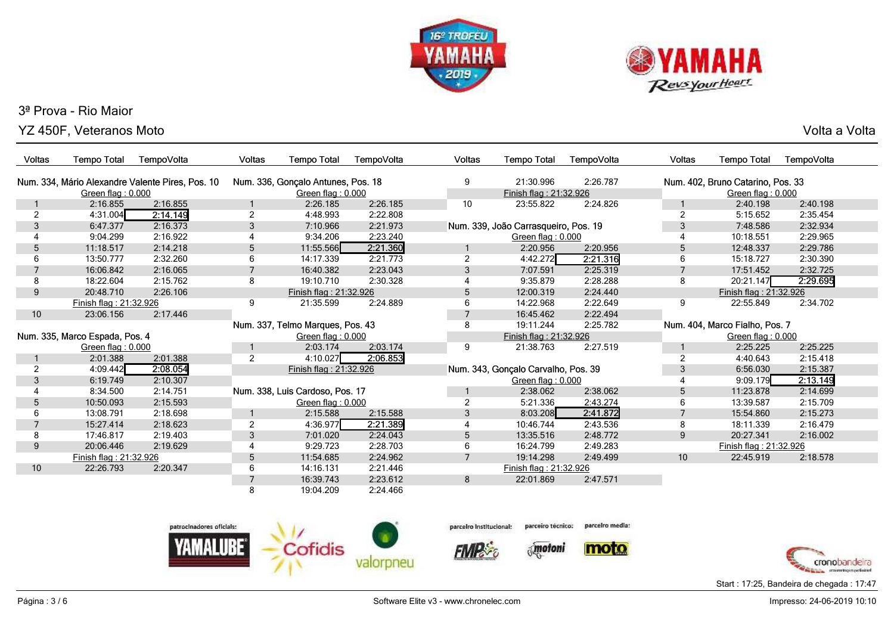



YZ 450F, Veteranos MotoVolta a Volta

| <b>Voltas</b>                  | <b>Tempo Total</b>                               | TempoVolta | <b>Voltas</b>     | <b>Tempo Total</b>                 | TempoVolta | <b>Voltas</b>  | <b>Tempo Total</b>                   | TempoVolta | Voltas         | <b>Tempo Total</b>                | TempoVolta |  |
|--------------------------------|--------------------------------------------------|------------|-------------------|------------------------------------|------------|----------------|--------------------------------------|------------|----------------|-----------------------------------|------------|--|
|                                | Num. 334, Mário Alexandre Valente Pires, Pos. 10 |            |                   | Num. 336, Gonçalo Antunes, Pos. 18 |            |                | 21:30.996                            | 2:26.787   |                | Num. 402, Bruno Catarino, Pos. 33 |            |  |
|                                | Green flag: 0.000                                |            |                   | Green flag: 0.000                  |            |                | Finish flag: 21:32.926               |            |                | Green flag: 0.000                 |            |  |
|                                | 2:16.855                                         | 2:16.855   |                   | 2:26.185                           | 2:26.185   | 10             | 23:55.822                            | 2:24.826   |                | 2:40.198                          | 2:40.198   |  |
| 2                              | 4:31.004                                         | 2:14.149   | $\overline{2}$    | 4:48.993                           | 2:22.808   |                |                                      |            | $\overline{2}$ | 5:15.652                          | 2:35.454   |  |
| 3                              | 6:47.377                                         | 2:16.373   | 3                 | 7:10.966                           | 2:21.973   |                | Num. 339, João Carrasqueiro, Pos. 19 |            | 3              | 7:48.586                          | 2:32.934   |  |
|                                | 9:04.299                                         | 2:16.922   |                   | 9:34.206                           | 2:23.240   |                | Green flag: 0.000                    |            |                | 10:18.551                         | 2:29.965   |  |
| 5                              | 11:18.517                                        | 2:14.218   | 5                 | 11:55.566                          | 2:21.360   |                | 2:20.956                             | 2:20.956   | 5              | 12:48.337                         | 2:29.786   |  |
| 6                              | 13:50.777                                        | 2:32.260   | 6                 | 14:17.339                          | 2:21.773   | 2              | 4:42.272                             | 2:21.316   | 6              | 15:18.727                         | 2:30.390   |  |
|                                | 16:06.842                                        | 2:16.065   | $\overline{7}$    | 16:40.382                          | 2:23.043   | 3              | 7:07.591                             | 2:25.319   | $\overline{7}$ | 17:51.452                         | 2:32.725   |  |
| 8                              | 18:22.604                                        | 2:15.762   | 8                 | 19:10.710                          | 2:30.328   |                | 9:35.879                             | 2:28.288   | 8              | 20:21.147                         | 2:29.695   |  |
| 9                              | 20:48.710                                        | 2:26.106   |                   | Finish flag: 21:32.926             |            | 5              | 12:00.319                            | 2:24.440   |                | Finish flag: 21:32.926            |            |  |
|                                | Finish flag: 21:32.926                           |            | 9                 | 21:35.599                          | 2:24.889   | 6              | 14:22.968                            | 2:22.649   | 9              | 22:55.849                         | 2:34.702   |  |
| 10                             | 23:06.156                                        | 2:17.446   |                   |                                    |            |                | 16:45.462                            | 2:22.494   |                |                                   |            |  |
|                                |                                                  |            |                   | Num. 337, Telmo Marques, Pos. 43   |            | 8              | 19:11.244                            | 2:25.782   |                | Num. 404, Marco Fialho, Pos. 7    |            |  |
| Num. 335, Marco Espada, Pos. 4 |                                                  |            | Green flag: 0.000 |                                    |            |                | Finish flag: 21:32.926               |            |                | Green flag: 0.000                 |            |  |
|                                | Green flag: 0.000                                |            |                   | 2:03.174                           | 2:03.174   | 9              | 21:38.763                            | 2:27.519   |                | 2:25.225                          | 2:25.225   |  |
|                                | 2:01.388                                         | 2:01.388   | $\overline{2}$    | 4:10.027                           | 2:06.853   |                |                                      |            | 2              | 4:40.643                          | 2:15.418   |  |
| 2                              | 4:09.442                                         | 2:08.054   |                   | Finish flag: 21:32.926             |            |                | Num. 343, Gonçalo Carvalho, Pos. 39  |            | 3              | 6:56.030                          | 2:15.387   |  |
| 3                              | 6:19.749                                         | 2:10.307   |                   |                                    |            |                | Green flag: 0.000                    |            |                | 9:09.179                          | 2:13.149   |  |
|                                | 8:34.500                                         | 2:14.751   |                   | Num. 338, Luis Cardoso, Pos. 17    |            |                | 2:38.062                             | 2:38.062   | 5              | 11:23.878                         | 2:14.699   |  |
| 5                              | 10:50.093                                        | 2:15.593   |                   | Green flag: 0.000                  |            |                | 5:21.336                             | 2:43.274   | 6              | 13:39.587                         | 2:15.709   |  |
|                                | 13:08.791                                        | 2:18.698   |                   | 2:15.588                           | 2:15.588   | 3              | 8:03.208                             | 2:41.872   | 7              | 15:54.860                         | 2:15.273   |  |
|                                | 15:27.414                                        | 2:18.623   | $\overline{2}$    | 4:36.977                           | 2:21.389   |                | 10:46.744                            | 2:43.536   | 8              | 18:11.339                         | 2:16.479   |  |
| 8                              | 17:46.817                                        | 2:19.403   | 3                 | 7:01.020                           | 2:24.043   | 5              | 13:35.516                            | 2:48.772   | 9              | 20:27.341                         | 2:16.002   |  |
| 9                              | 20:06.446                                        | 2:19.629   | $\overline{4}$    | 9:29.723                           | 2:28.703   | 6              | 16:24.799                            | 2:49.283   |                | Finish flag: 21:32.926            |            |  |
|                                | Finish flag: 21:32.926                           |            | 5                 | 11:54.685                          | 2:24.962   | $\overline{7}$ | 19:14.298                            | 2:49.499   | 10             | 22:45.919                         | 2:18.578   |  |
| 10                             | 22:26.793                                        | 2:20.347   | 6                 | 14:16.131                          | 2:21.446   |                | Finish flag: 21:32.926               |            |                |                                   |            |  |
|                                |                                                  |            | $\overline{7}$    | 16:39.743                          | 2:23.612   | 8              | 22:01.869                            | 2:47.571   |                |                                   |            |  |
|                                |                                                  |            | 8                 | 19:04.209                          | 2:24.466   |                |                                      |            |                |                                   |            |  |





**FIMPS** 

parcelro media: parceiro técnico:

 $\delta_{\rm s}$  motoni





Start : 17:25, Bandeira de chegada : 17:47

Página : 3 / 6

Software Elite v3 - www.chronelec.com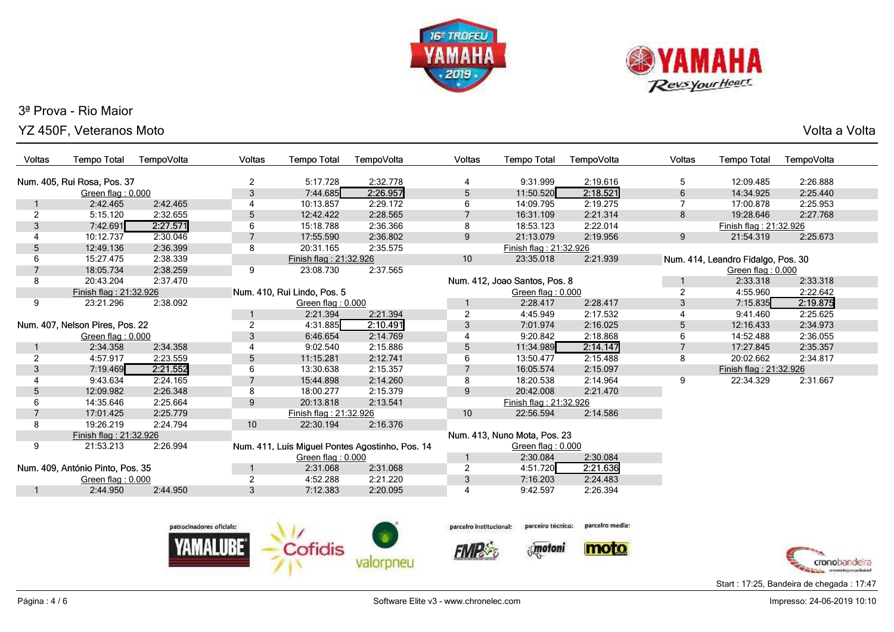



Г

Г

Г

Г

## YZ 450F, Veteranos MotoVolta a Volta

| Voltas                          | <b>Tempo Total</b>               | TempoVolta     | <b>Voltas</b>  | <b>Tempo Total</b>          | TempoVolta                                      | Voltas                  | <b>Tempo Total</b>            | TempoVolta                        | Voltas         | <b>Tempo Total</b>                 | TempoVolta |
|---------------------------------|----------------------------------|----------------|----------------|-----------------------------|-------------------------------------------------|-------------------------|-------------------------------|-----------------------------------|----------------|------------------------------------|------------|
|                                 |                                  |                |                |                             |                                                 |                         |                               |                                   |                |                                    |            |
| Num. 405, Rui Rosa, Pos. 37     |                                  |                | $\overline{2}$ | 5:17.728                    | 2:32.778                                        | $\overline{4}$          | 9:31.999                      | 2:19.616                          | 5              | 12:09.485                          | 2:26.888   |
|                                 | Green flag: 0.000                |                | 3              | 7:44.685                    | 2:26.957                                        | 5                       | 11:50.520                     | 2:18.521                          | 6              | 14:34.925                          | 2:25.440   |
|                                 | 2:42.465                         | 2:42.465       | $\overline{4}$ | 10:13.857                   | 2:29.172                                        | 6                       | 14:09.795                     | 2:19.275                          |                | 17:00.878                          | 2:25.953   |
| 2                               | 5:15.120                         | 2:32.655       | 5              | 12:42.422                   | 2:28.565                                        | $\overline{7}$          | 16:31.109                     | 2:21.314                          | 8              | 19:28.646                          | 2:27.768   |
| 3                               | 7:42.691                         | 2:27.571       | 6              | 15:18.788                   | 2:36.366                                        | 8                       | 18:53.123                     | 2:22.014                          |                | Finish flag: 21:32.926             |            |
|                                 | 10:12.737                        | 2:30.046       | $\overline{7}$ | 17:55.590                   | 2:36.802                                        | $\boldsymbol{9}$        | 21:13.079                     | 2:19.956                          | 9              | 21:54.319                          | 2:25.673   |
| 5                               | 12:49.136                        | 2:36.399       | 8              | 20:31.165                   | 2:35.575                                        |                         | Finish flag: 21:32.926        |                                   |                |                                    |            |
| 6                               | 15:27.475                        | 2:38.339       |                | Finish flag: 21:32.926      |                                                 | 10                      | 23:35.018                     | 2:21.939                          |                | Num. 414, Leandro Fidalgo, Pos. 30 |            |
| $\overline{7}$                  | 18:05.734                        | 2:38.259       | 9              | 23:08.730                   | 2:37.565                                        |                         |                               |                                   |                | Green flag: 0.000                  |            |
| 8                               | 20:43.204                        | 2:37.470       |                |                             |                                                 |                         | Num. 412, Joao Santos, Pos. 8 |                                   | -1             | 2:33.318                           | 2:33.318   |
|                                 | Finish flag: 21:32.926           |                |                | Num. 410, Rui Lindo, Pos. 5 |                                                 |                         | Green flag: 0.000             |                                   | $\overline{c}$ | 4:55.960                           | 2:22.642   |
| 9                               | 23:21.296                        | 2:38.092       |                | Green flag: 0.000           |                                                 |                         | 2:28.417                      | 2:28.417                          | 3              | 7:15.835                           | 2:19.875   |
|                                 |                                  |                |                | 2:21.394                    | 2:21.394                                        | $\overline{c}$          | 4:45.949                      | 2:17.532                          |                | 9:41.460                           | 2:25.625   |
| Num. 407, Nelson Pires, Pos. 22 |                                  | $\overline{2}$ | 4:31.885       | 2:10.491                    | 3                                               | 7:01.974                | 2:16.025                      | 5                                 | 12:16.433      | 2:34.973                           |            |
|                                 | Green flag: 0.000                |                | 3              | 6:46.654                    | 2:14.769                                        | $\overline{4}$          | 9:20.842                      | 2:18.868                          | 6              | 14:52.488                          | 2:36.055   |
|                                 | 2:34.358                         | 2:34.358       | 4              | 9:02.540                    | 2:15.886                                        | 5                       | 11:34.989                     | 2:14.147                          | $\overline{7}$ | 17:27.845                          | 2:35.357   |
| 2                               | 4:57.917                         | 2:23.559       | 5              | 11:15.281                   | 2:12.741                                        | 6                       | 13:50.477                     | 2:15.488                          | 8              | 20:02.662                          | 2:34.817   |
| 3                               | 7:19.469                         | 2:21.552       | 6              | 13:30.638                   | 2:15.357                                        |                         | 16:05.574                     | 2:15.097                          |                | Finish flag: 21:32.926             |            |
|                                 | 9:43.634                         | 2:24.165       | $\overline{7}$ | 15:44.898                   | 2:14.260                                        | 8                       | 18:20.538                     | 2:14.964                          | 9              | 22:34.329                          | 2:31.667   |
| 5                               | 12:09.982                        | 2:26.348       | 8              | 18:00.277                   | 2:15.379                                        | 9                       | 20:42.008                     | 2:21.470                          |                |                                    |            |
| 6                               | 14:35.646                        | 2:25.664       | 9              | 20:13.818                   | 2:13.541                                        |                         | Finish flag: 21:32.926        |                                   |                |                                    |            |
| $\overline{7}$                  | 17:01.425                        | 2:25.779       |                | Finish flag: 21:32.926      |                                                 | 10                      | 22:56.594                     | 2:14.586                          |                |                                    |            |
| 8                               | 19:26.219                        | 2:24.794       | 10             | 22:30.194                   | 2:16.376                                        |                         |                               |                                   |                |                                    |            |
|                                 | Finish flag: 21:32.926           |                |                |                             |                                                 |                         | Num. 413, Nuno Mota, Pos. 23  |                                   |                |                                    |            |
| 9                               | 21:53.213                        | 2:26.994       |                |                             | Num. 411, Luís Miguel Pontes Agostinho, Pos. 14 |                         | Green flag: 0.000             |                                   |                |                                    |            |
|                                 |                                  |                |                | Green flag: 0.000           |                                                 |                         | 2:30.084                      | 2:30.084                          |                |                                    |            |
|                                 | Num. 409, António Pinto, Pos. 35 |                |                | 2:31.068                    | 2:31.068                                        | $\overline{c}$          | 4:51.720                      | 2:21.636                          |                |                                    |            |
| Green flag: 0.000               |                                  | 2              | 4:52.288       | 2:21.220                    | 3                                               | 7:16.203                | 2:24.483                      |                                   |                |                                    |            |
|                                 | 2:44.950                         | 2:44.950       | 3              | 7:12.383                    | 2:20.095                                        | $\overline{4}$          | 9:42.597                      | 2:26.394                          |                |                                    |            |
|                                 |                                  |                |                |                             |                                                 |                         |                               |                                   |                |                                    |            |
| natrocinadores oficials:        |                                  |                |                |                             |                                                 | narceiro institucional: |                               | parceiro técnico; parcelro media: |                |                                    |            |



parceiro técnico: parceiro Institucional:

**FIMPS** 







Start : 17:25, Bandeira de chegada : 17:47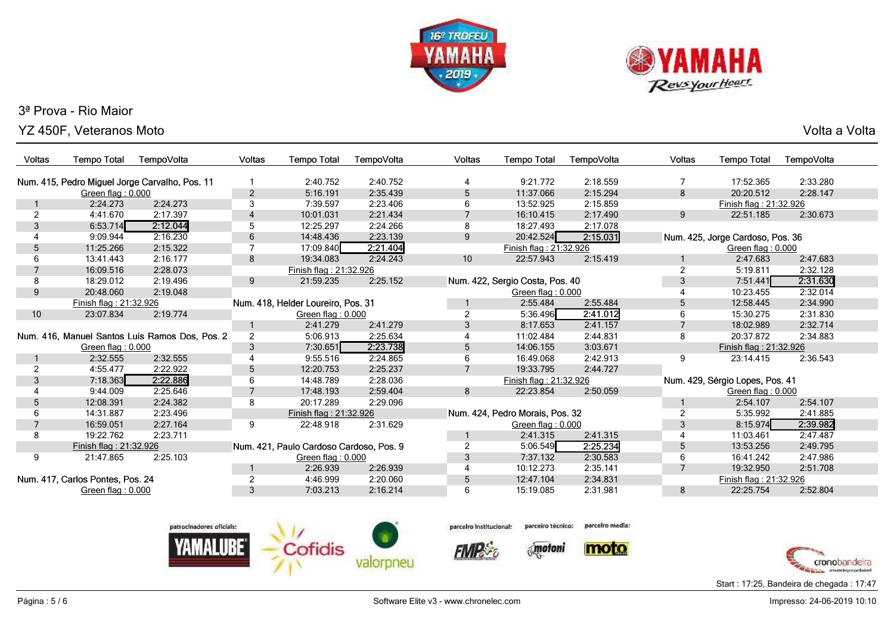



YZ 450F, Veteranos Moto

Volta a Volta

| Voltas          | <b>Tempo Total</b>               | TempoVolta                                     | Voltas         | <b>Tempo Total</b>                      | Tempo Volta | <b>Voltas</b>  | <b>Tempo Total</b>              | TempoVolta | <b>Voltas</b>  | <b>Tempo Total</b>               | TempoVolta |
|-----------------|----------------------------------|------------------------------------------------|----------------|-----------------------------------------|-------------|----------------|---------------------------------|------------|----------------|----------------------------------|------------|
|                 |                                  | Num. 415, Pedro Miguel Jorge Carvalho, Pos. 11 |                | 2:40.752                                | 2:40.752    | 4              | 9:21.772                        | 2:18.559   |                | 17:52.365                        | 2:33.280   |
|                 | Green flag: 0.000                |                                                | $\overline{2}$ | 5:16.191                                | 2:35.439    | 5              | 11:37.066                       | 2:15.294   | 8              | 20:20.512                        | 2:28.147   |
|                 | 2:24.273                         | 2:24.273                                       | 3              | 7:39.597                                | 2:23.406    | 6              | 13:52.925                       | 2:15.859   |                | Finish flag: 21:32.926           |            |
| $\overline{2}$  | 4:41.670                         | 2:17.397                                       | $\overline{4}$ | 10:01.031                               | 2:21.434    |                | 16:10.415                       | 2:17.490   | 9              | 22:51.185                        | 2:30.673   |
| 3               | 6:53.714                         | 2:12.044                                       | 5              | 12:25.297                               | 2:24.266    | 8              | 18:27.493                       | 2:17.078   |                |                                  |            |
|                 | 9:09.944                         | 2:16.230                                       | 6              | 14:48.436                               | 2:23.139    | 9              | 20:42.524                       | 2:15.031   |                | Num. 425, Jorge Cardoso, Pos. 36 |            |
| 5               | 11:25.266                        | 2:15.322                                       | 7              | 17:09.840                               | 2:21.404    |                | Finish flag: 21:32.926          |            |                | Green flag: 0.000                |            |
| 6               | 13:41.443                        | 2:16.177                                       | 8              | 19:34.083                               | 2:24.243    | 10             | 22:57.943                       | 2:15.419   |                | 2:47.683                         | 2:47.683   |
|                 | 16:09.516                        | 2:28.073                                       |                | Finish flag: 21:32.926                  |             |                |                                 |            |                | 5:19.811                         | 2:32.128   |
| 8               | 18:29.012                        | 2:19.496                                       | 9              | 21:59.235                               | 2:25.152    |                | Num. 422, Sergio Costa, Pos. 40 |            | 3              | 7:51.441                         | 2:31.630   |
| 9               | 20:48.060                        | 2:19.048                                       |                |                                         |             |                | Green flag: 0.000               |            |                | 10:23.455                        | 2:32.014   |
|                 | Finish flag: 21:32.926           |                                                |                | Num. 418, Helder Loureiro, Pos. 31      |             |                | 2:55.484                        | 2:55.484   | 5              | 12:58.445                        | 2:34.990   |
| 10 <sup>1</sup> | 23:07.834                        | 2:19.774                                       |                | Green flag: 0.000                       |             | 2              | 5:36.496                        | 2:41.012   | 6              | 15:30.275                        | 2:31.830   |
|                 |                                  |                                                |                | 2:41.279                                | 2:41.279    | 3              | 8:17.653                        | 2:41.157   | $\overline{7}$ | 18:02.989                        | 2:32.714   |
|                 |                                  | Num. 416, Manuel Santos Luís Ramos Dos, Pos. 2 | $\overline{2}$ | 5:06.913                                | 2:25.634    | 4              | 11:02.484                       | 2:44.831   | 8              | 20:37.872                        | 2:34.883   |
|                 | Green flag: 0.000                |                                                | 3              | 7:30.651                                | 2:23.738    | 5              | 14:06.155                       | 3:03.671   |                | Finish flag: 21:32.926           |            |
|                 | 2:32.555                         | 2:32.555                                       |                | 9:55.516                                | 2:24.865    | 6              | 16:49.068                       | 2:42.913   | 9              | 23:14.415                        | 2:36.543   |
| $\overline{2}$  | 4:55.477                         | 2:22.922                                       | 5              | 12:20.753                               | 2:25.237    | $\overline{7}$ | 19:33.795                       | 2:44.727   |                |                                  |            |
| 3               | 7:18.363                         | 2:22.886                                       | 6              | 14:48.789                               | 2:28.036    |                | Finish flag: 21:32.926          |            |                | Num. 429, Sérgio Lopes, Pos. 41  |            |
|                 | 9:44.009                         | 2:25.646                                       | $\overline{7}$ | 17:48.193                               | 2:59.404    | 8              | 22:23.854                       | 2:50.059   |                | Green flag: 0.000                |            |
| 5               | 12:08.391                        | 2:24.382                                       | 8              | 20:17.289                               | 2:29.096    |                |                                 |            |                | 2:54.107                         | 2:54.107   |
| 6               | 14:31.887                        | 2:23.496                                       |                | Finish flag: 21:32.926                  |             |                | Num. 424, Pedro Morais, Pos. 32 |            | $\overline{2}$ | 5:35.992                         | 2:41.885   |
| 7               | 16:59.051                        | 2:27.164                                       | 9              | 22:48.918                               | 2:31.629    |                | Green flag: 0.000               |            | 3              | 8:15.974                         | 2:39.982   |
| 8               | 19:22.762                        | 2:23.711                                       |                |                                         |             |                | 2:41.315                        | 2:41.315   | 4              | 11:03.461                        | 2:47.487   |
|                 | Finish flag: 21:32.926           |                                                |                | Num. 421, Paulo Cardoso Cardoso, Pos. 9 |             | 2              | 5:06.549                        | 2:25.234   | 5              | 13:53.256                        | 2:49.795   |
| 9               | 21:47.865                        | 2:25.103                                       |                | Green flag: 0.000                       |             | 3              | 7:37.132                        | 2:30.583   | 6              | 16:41.242                        | 2:47.986   |
|                 |                                  |                                                |                | 2:26.939                                | 2:26.939    | $\overline{4}$ | 10:12.273                       | 2:35.141   | $\overline{7}$ | 19:32.950                        | 2:51.708   |
|                 | Num. 417, Carlos Pontes, Pos. 24 |                                                | $\overline{2}$ | 4:46.999                                | 2:20.060    | 5              | 12:47.104                       | 2:34.831   |                | Finish flag: 21:32.926           |            |
|                 | Green flag: 0.000                |                                                | 3              | 7:03.213                                | 2:16.214    | 6              | 15:19.085                       | 2:31.981   | 8              | 22:25.754                        | 2:52.804   |
|                 |                                  |                                                |                |                                         |             |                |                                 |            |                |                                  |            |





**FIMPS** 

parcelro media:

*<u>Motoni</u>*